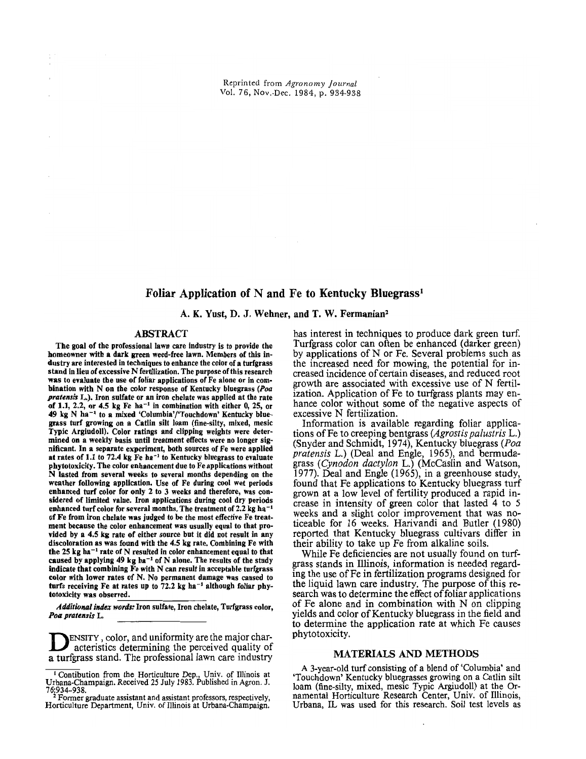Reprinted from *Agronomy journal*  Vol. 76, Nov.-Dec. 1984, p. 934-938

# Foliar Application of N and Fe to Kentucky Bluegrass·

A. K. Yust, D. J. Wehner, and T. W. Fermanian'

#### ABSTRACT

turfs receiving Fe at rates up to  $72.2$  kg ha<sup>-1</sup> although foliar phy-<br>totoxicity was observed.<br>Additional index words: Iron sulfate, Iron chelate, Turfgrass color. The goal of the professional lawn care industry is to provide the homeowner with a dark green weed-free lawn. Members of this industry are interested in techniques to enhance the color of a turfgrass stand in lieu of excessive N fertilization. The purpose of this research was to evaluate tbe use of foliar applications of Fe alone or in com· bination with N on the color response of Kentucky bluegrass (Poa *pratensis* L.). Iron sulfate or an iron chelate was applied at the rate of 1.1, 2.2, or 4.5 kg  $Fe$  ha<sup>-1</sup> in combination with either 0, 25, or  $49 \text{ kg N}$  ha<sup>-1</sup> to a mixed 'Columbia'/'Touchdown' Kentucky bluegrass turf growing on a Catlin silt loam (fine-silty, mixed, mesic Typic Argiudoll). Color ratings and clipping weights were determined on a weekly basis until treatment effects were no longer significant. In a separate experiment, both sources of Fe were applied at rates of 1.1 to 72.4 kg  $\overline{F}e$  ha<sup>-1</sup> to Kentucky bluegrass to evaluate phytotoxicity. The color enhancement due to Fe applications without N lasted from several weeks to several months depending on the weather following application. Use of Fe during cool wet periods enhanced turf color for only 2 to 3 weeks and therefore, was considered of limited value. Iron applications during cool dry periods enhanced turf color for several months. The treatment of 2.2 kg ha<sup>-1</sup> of Fe from iron chelate was judged to be the most effective Fe treatment because the color enhancement was usually equal to that provided by a 4.5 kg rate of either source but it did not result in any discoloration as was found with the 4.5 kg rate. Combining Fe with the  $25$  kg ha<sup>-1</sup> rate of N resulted in color enhancement equal to that caused by applying 49 kg  $ha^{-1}$  of N alone. The results of the study indicate that combining Fe with N can result in acceptable turfgrass color with lower rates of N. No permanent damage was caused to totoxicity was observed.

*Additional index words.'* Iron sulfate, Iron chelate, Turfgrass color, *Poa pratensis* L.

ENSITY, color, and uniformity are the major characteristics determining the perceived quality of a turfgrass stand. The professional lawn care industry

has interest in techniques to produce dark green turf Turfgrass color can often be enhanced (darker green) by applications of N or Fe. Several problems such as the increased need for mowing, the potential for increased incidence of certain diseases, and reduced root growth are associated with excessive use of N fertilization. Application of Fe to turfgrass plants may enhance color without some of the negative aspects of excessive N fertilization.

Information is available regarding foliar applications of Fe to creeping bentgrass *(Agrostis palustris* L.) (Snyder and Schmidt, 1974), Kentucky bluegrass *(Poa pratensis* L.) (Deal and Engle, 1965), and bermudagrass *(Cynodon dactylon* L.) (McCaslin and Watson, 1977). Deal and Engle (1965), in a greenhouse study, found that Fe applications to Kentucky bluegrass turf grown at a low level of fertility produced a rapid increase in intensity of green color that lasted 4 to 5 weeks and a slight color improvement that was noticeable for 16 weeks. Harivandi and Butler (1980) reported that Kentucky bluegrass cultivars differ in their ability to take up Fe from alkaline soils.

While Fe deficiencies are not usually found on turfgrass stands in Illinois, information is needed regarding the use ofFe in fertilization programs designed for the liquid lawn care industry. The purpose of this research was to determine the effect of foliar applications of Fe alone and in combination with N on clipping yields and color of Kentucky bluegrass in the field and to determine the application rate at which Fe causes phytotoxicity.

## MATERIALS AND METHODS

A 3-year-old turf consisting of a blend of 'Columbia' and 'Touchdown' Kentucky bluegrasses growing on a Catlin silt loam (fine-silty, mixed, mesic Typic Argiudoll) at the Ornamental Horticulture Research Center, Univ. of Illinois, Urbana, IL was used for this research. Soil test levels as

<sup>1</sup> Contibution from the Horticulture Dep., Univ. of Illinois at Urbana-Champaign. Received 25 July 1983. Published in Agron. J.

<sup>21</sup> Former graduate assistant and assistant professors, respectively,<br><sup>2</sup> Former graduate assistant and assistant professors, respectively, Horticulture Department, Univ. of Illinois at Urbana-Champaign.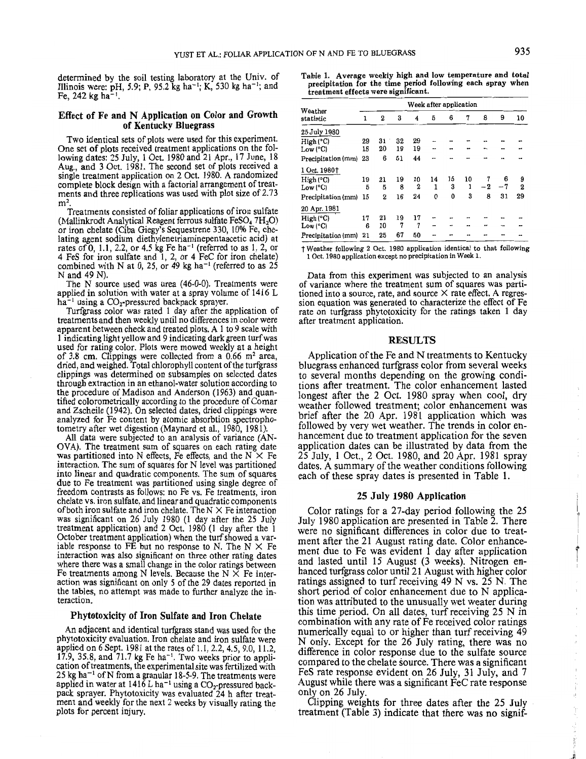determined by the soil testing laboratory at the Univ. of Illinois were: pH, 5.9; P, 95.2 kg ha<sup>-1</sup>; K, 530 kg ha<sup>-1</sup>; and Fe,  $242$  kg ha<sup>-1</sup>.

### Effect of Fe and N Application on Color and Growth of Kentucky Bluegrass

Two identical sets of plots were used for this experiment. One set of plots received treatment applications on the following dates: 25 July, I Oct. 1980 and 21 Apr., 17 June, 18 Aug., and 3 Oct. 1981. The second set of plots received a single treatment application on 2 Oct. 1980. A randomized complete block design with a factorial arrangement of treatments and three replications was used with plot size of 2.73 m<sup>2</sup>.

Treatments consisted of foliar applications of iron sulfate (Mallinkrodt Analytical Reagent ferrous sulfate FeSO<sub>4</sub> 7H<sub>2</sub>O) or iron chelate (Ciba Giegy's Sequestrene 330, 10% Fe, chelating agent sodium diethylenetriaminepentaacetic acid) at rates of 0, 1.1, 2.2, or 4.5 kg Fe ha<sup>-1</sup> (referred to as 1, 2, or 4 FeS for iron sulfate and 1, 2, or 4 FeC for iron chelate) combined with N at 0, 25, or 49 kg ha<sup>-1</sup> (referred to as  $25$ Nand 49 N).

The N source used was urea (46-0-0). Treatments were applied in solution with water at a spray volume of 1416 L  $ha^{-1}$  using a  $CO_2$ -pressured backpack sprayer.

Turfgrass color was rated 1 day after the application of treatments and then weekly until no differences in color were apparent between check and treated plots. A 1 to 9 scale with 1 indicating light yellow and 9 indicating dark green turf was used for rating color. Plots were mowed weekly at a height of 3.8 cm. Clippings were collected from a  $0.66$  m<sup>2</sup> area, dried, and weighed. Total chlorophyll content of the turfgrass clippings was determined on subsamples on selected dates through extraction in an ethanol-water solution according to the procedure of Madison and Anderson (1963) and quantified colorometrically according to the procedure of Comar and Zscheile (1942). On selected dates, dried clippings were analyzed for Fe content by atomic absorbtion spectrophotometry after wet digestion (Maynard et aI., 1980, 1981).

All data were subjected to an analysis of variance (AN-OVA). The treatment sum of squares on each rating date was partitioned into N effects, Fe effects, and the  $N \times F$ e interaction. The sum of squares for N level was partitioned into linear and quadratic components. The sum of squares due to Fe treatment was partitioned using single degree of freedom contrasts as follows: no Fe vs. Fe treatments, iron chelate vs. iron sulfate, and linear and quadratic components of both iron sulfate and iron chelate. The  $N \times F$ e interaction was significant on 26 July 1980 (1 day after the 25 July treatment application) and 2 Oct. 1980 (1 day after the 1 October treatment application) when the turf showed a variable response to FE but no response to N. The  $N \times F$ e interaction was also significant on three other rating dates where there was a small change in the color ratings between Fe treatments among N levels. Because the  $N \times F$ e interaction was significant on only 5 of the 29 dates reported in the tables, no attempt was made to further analyze the interaction.

## Phytotoxicity of Iron Sulfate and Iron Chelate

An adjacent and identical turfgrass stand was used for the phytotoxicity evaluation. Iron chelate and iron sulfate were applied on 6 Sept. 1981 at the rates of 1.1,2.2,4.5, 9.0, 11.2, 17.9, 35.8, and 71.7 kg Fe ha<sup>-1</sup>. Two weeks prior to application of treatments, the experimental site was fertilized with  $25 \text{ kg}$  ha<sup>-1</sup> of N from a granular 18-5-9. The treatments were applied in water at  $141\bar{6}$  L ha<sup>-1</sup> using a CO<sub>2</sub>-pressured backpack sprayer. Phytotoxicity was evaluated 24 h after treatment and weekly for the next 2 weeks by visually rating the plots for percent injury.

Table 1. Average weekly high and low temperature and total precipitation for the time period following each spray when treatment effects were significant.

|                       | Week after application |    |    |                  |    |    |    |      |    |                |  |
|-----------------------|------------------------|----|----|------------------|----|----|----|------|----|----------------|--|
| Weather<br>statistic  | 1                      | 2  | 3  | 4                | 5  | 6  | 7  | 8    | 9  | 10             |  |
| 25 July 1980          |                        |    |    |                  |    |    |    |      |    |                |  |
| High (°C)             | 29                     | 31 | 32 | 29               |    |    |    |      |    |                |  |
| Low (°C)              | 18                     | 20 | 19 | 19               | -- |    |    |      | -- |                |  |
| Precipitation (mm) 23 |                        | 6  | 51 | 44               |    |    |    |      |    |                |  |
| 1 Oct. 1980†          |                        |    |    |                  |    |    |    |      |    |                |  |
| High (°C)             | 19                     | 21 | 19 | 10               | 14 | 15 | 10 | 7    | 6  | 9              |  |
| Low (°C)              | 5                      | 5  | 8  | $\boldsymbol{2}$ | 1  | 3  | 1  | $-2$ | -7 | $\overline{2}$ |  |
| Precipitation (mm)    | 15                     | 2  | 16 | 24               | 0  | 0  | 3  | 8    | 31 | 29             |  |
| 20 Apr. 1981          |                        |    |    |                  |    |    |    |      |    |                |  |
| High (°C)             | 17                     | 21 | 19 | 17               |    |    |    |      |    |                |  |
| Low (°C)              | 6                      | 10 | 7  | 7                |    |    |    |      |    |                |  |
| Precipitation (mm) 21 |                        | 25 | 67 | 50               | -- |    |    |      |    |                |  |

t Weather following 2 Oct. 1980 application identical to that following 1 Oct. 1980 application except no precipitation in Week 1.

Data from this experiment was subjected to an analysis of variance where the treatment sum of squares was partitioned into a source, rate, and source  $\times$  rate effect. A regression equation was generated to characterize the effect of Fe rate on turfgrass phytotoxicity for the ratings taken 1 day after treatment application.

#### RESULTS

Application of the Fe and N treatments to Kentucky bluegrass enhanced turfgrass color from several weeks to several months depending on the growing conditions after treatment. The color enhancement lasted longest after the 2 Oct. 1980 spray when cool, dry weather followed treatment; color enhancement was brief after the 20 Apr. 1981 application which was followed by very wet weather. The trends in color enhancement due to treatment application for the seven application dates can be illustrated by data from the 25 July, 1 Oct., 2 Oct. 1980, and 20 Apr. 1981 spray dates. A summary of the weather conditions following each of these spray dates is presented in Table 1.

## 25 July 1980 Application

Color ratings for a 27-day period following the 25 July 1980 application are presented in Table 2. There were no significant differences in color due to treatment after the 21 August rating date. Color enhancement due to Fe was evident  $\overline{1}$  day after application and lasted until 15 August (3 weeks). Nitrogen enhanced turfgrass color until 21 August with higher color ratings assigned to turf receiving 49 N vs. 25 N. The short period of color enhancement due to N application was attributed to the unusually wet weater during this time period. On all dates, turf receiving 25 N in combination with any rate of Fe received color ratings numerically equal to or higher than turf receiving 49 N only. Except for the 26 July rating, there was no difference in color response due to the sulfate source compared to the chelate source. There was a significant FeS rate response evident on 26 July, 31 July, and 7 August while there was a significant FeC rate response only on 26 July.

Clipping weights for three dates after the 25 July treatment (Table 3) indicate that there was no signif $\cdot$  $\frac{1}{1}$ 

 $\bar{\beta}$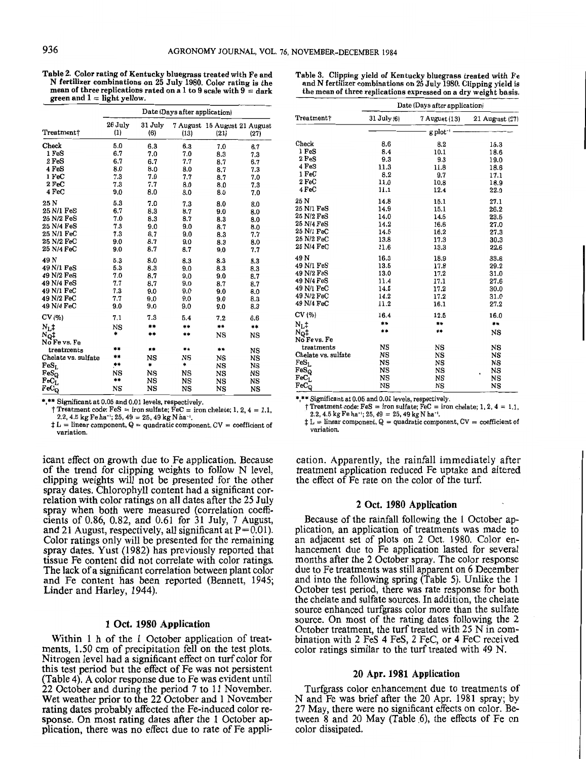Table 2. Color rating of Kentucky bluegrass treated with Fe and N fertilizer combinations on 25 July 1980. Color rating is the mean of three replications rated on a 1 to 9 scale with  $9 =$  dark green and  $1 =$  light yellow.

#### Table 3. Clipping yield of Kentucky bluegrass treated with Fe and N fertilizer combinations on 25 July 1980. Clipping yield is the mean of three replications expressed on a dry weight basis.

|                             | Date (Days after application) |                |      |                                      |      |  |  |  |  |
|-----------------------------|-------------------------------|----------------|------|--------------------------------------|------|--|--|--|--|
| Treatment†                  | 26 July<br>(1)                | 31 July<br>(6) | (13) | 7 August 15 August 21 August<br>(21) | (27) |  |  |  |  |
| Check                       | 5.0                           | 6.3            | 6.3  | 7.0                                  | 6.7  |  |  |  |  |
| 1 FeS                       | 6.7                           | 7.0            | 7.0  | 8.3                                  | 7.3  |  |  |  |  |
| 2 FeS                       | 6.7                           | 6.7            | 7.7  | 8.7                                  | 6.7  |  |  |  |  |
| 4 FeS                       | 8.0                           | 8.0            | 8.0  | 8.7                                  | 7.3  |  |  |  |  |
| $1 \,\mathrm{FeC}$          | 7.3                           | 7.0            | 7.7  | 8.7                                  | 7.0  |  |  |  |  |
| $2 \text{ FeC}$             | 7.3                           | 7.7            | 8.0  | 8.0                                  | 7.3  |  |  |  |  |
| 4 FeC                       | 9.0                           | 8.0            | 8.0  | 8.0                                  | 7.0  |  |  |  |  |
| 25 N                        | 5.3                           | 7.0            | 7.3  | 8.0                                  | 8.0  |  |  |  |  |
| 25 N/1 FeS                  | 6.7                           | 8.3            | 8.7  | 9.0                                  | 8.0  |  |  |  |  |
| 25 N/2 FeS                  | 7.0                           | 8.3            | 8.7  | 8.3                                  | 8.0  |  |  |  |  |
| 25 N/4 FeS                  | 7.3                           | 9.0            | 9.0  | 8.7                                  | 8.0  |  |  |  |  |
| 25 N/1 FeC                  | 7.3                           | 8.7            | 9.0  | 8.3                                  | 7.7  |  |  |  |  |
| 25 N/2 FeC                  | 9.0                           | 8.7            | 9.0  | 8.3                                  | 8.0  |  |  |  |  |
| 25 N/4 FeC                  | 9.0                           | 8.7            | 8.7  | 9.0                                  | 7.7  |  |  |  |  |
| 49 N                        | 5.3                           | 8.0            | 8.3  | 8.3                                  | 8.3  |  |  |  |  |
| 49 N/1 FeS                  | 5.3                           | 8.3            | 9.0  | 8.3                                  | 8.3  |  |  |  |  |
| 49 N/2 FeS                  | 7.0                           | 8.7            | 9.0  | 9.0                                  | 8.7  |  |  |  |  |
| 49 N/4 FeS                  | 7.7                           | 8.7            | 9.0  | 8.7                                  | 8.7  |  |  |  |  |
| 49 N/1 FeC                  | 7.3                           | 9.0            | 9.0  | 9.0                                  | 8.0  |  |  |  |  |
| 49 N/2 FeC                  | 7.7                           | 9.0            | 9,0  | 9.0                                  | 8.3  |  |  |  |  |
| 49 N/4 FeC                  | 9.0                           | 9.0            | 9.0  | 9.0                                  | 8.3  |  |  |  |  |
| CV(%)                       | 7.1                           | 7.3            | 5.4  | 7.2                                  | 6.6  |  |  |  |  |
| $N_1$ ‡                     | NS                            | **             | **   | **                                   | **   |  |  |  |  |
| $N_{Q}$ ‡                   | *                             | **             | **   | NS                                   | NS   |  |  |  |  |
| No Fe vs. Fe                |                               |                |      |                                      |      |  |  |  |  |
| treatments                  | **                            | **             | **   | **                                   | NS   |  |  |  |  |
| Chelate vs. sulfate         | **                            | NS             | NS   | NS                                   | NS   |  |  |  |  |
| $\mathrm{FeS_{L}}$          | **                            | ۰              | ۰    | <b>NS</b>                            | NS   |  |  |  |  |
| $\mathrm{FeS}_{\mathrm{Q}}$ | NS                            | NS             | NS   | NS                                   | NS   |  |  |  |  |
| $\mathbf{FeC}_{\mathrm{L}}$ | **                            | NS             | NS   | NS                                   | NS   |  |  |  |  |
| $FeC_Q$                     | NS                            | NS             | NS   | NS                                   | NS   |  |  |  |  |

\*,\*\* Significant at 0.05 and 0.01 levels, respectively.

 $\dagger$  Treatment code: FeS = iron sulfate; FeC = iron chelate; 1, 2, 4 = 1.1, 2.2, 4.5 kg Fe ha<sup>-1</sup>; 25, 49 = 25, 49 kg N ha<sup>-1</sup>.

 $\ddagger L$  = linear component, Q = quadratic component, CV = coefficient of variation.

icant effect on growth due to Fe application. Because of the trend for clipping weights to follow N level, clipping weights will not be presented for the other spray dates. Chlorophyll content had a significant correlation with color ratings on all dates after the 25 July spray when both were measured (correlation coefficients of 0.86, 0.82, and 0.61 for 31 July, 7 August, and 21 August, respectively, all significant at  $P=0.01$ ). Color ratings only will be presented for the remaining spray dates. Yust (1982) has previously reported that tissue Fe content did not correlate with color ratings. The lack of a significant correlation between plant color and Fe content has been reported (Bennett, 1945; Linder and Harley, 1944).

## 1 Oct. 1980 Application

Within 1 h of the 1 October application of treatments, 1.50 cm of precipitation fell on the test plots. Nitrogen level had a significant effect on turf color for this test period but the effect of Fe was not persistent (Table 4). A color response due to Fe was evident until 22 October and during the period 7 to 11 November. Wet weather prior to the 22 October and 1 November rating dates probably affected the Fe-induced color response. On most rating dates after the 1 October application, there was no effect due to rate of Fe appli-

|                             | Date (Days after application) |                      |                |  |  |  |  |  |  |
|-----------------------------|-------------------------------|----------------------|----------------|--|--|--|--|--|--|
| Treatment†                  | $31$ July $(6)$               | 7 August (13)        | 21 August (27) |  |  |  |  |  |  |
|                             |                               | g plot <sup>-1</sup> |                |  |  |  |  |  |  |
| Check                       | 8.6                           | 8.2                  | 15.3           |  |  |  |  |  |  |
| 1 FeS                       | 8.4                           | 10.1                 | 18.6           |  |  |  |  |  |  |
| 2 FeS                       | 9.3                           | 9.3                  | 19.0           |  |  |  |  |  |  |
| 4 FeS                       | 11.3                          | 11.8                 | 18.6           |  |  |  |  |  |  |
| 1 FeC                       | 8.2                           | 9.7                  | 17.1           |  |  |  |  |  |  |
| $2 \text{ FeC}$             | 11.0                          | 10.8                 | 18.9           |  |  |  |  |  |  |
| 4 FeC                       | 11.1                          | 12.4                 | 22.0           |  |  |  |  |  |  |
| 25 N                        | 14.8                          | 15.1                 | 27.1           |  |  |  |  |  |  |
| 25 N/1 FeS                  | 14.9                          | 15.1                 | 26.2           |  |  |  |  |  |  |
| 25 N/2 FeS                  | 14.0                          | 14.5                 | 23.5           |  |  |  |  |  |  |
| 25 N/4 FeS                  | 14.2                          | 16.6                 | 27.0           |  |  |  |  |  |  |
| 25 N/1 FeC                  | 14.5                          | 16.2                 | 27.3           |  |  |  |  |  |  |
| 25 N/2 FeC                  | 13.8                          | 17.3                 | 30.3           |  |  |  |  |  |  |
| 25 N/4 FeC                  | 11.6                          | 13.3                 | 22.6           |  |  |  |  |  |  |
| 49 N                        | 16.3                          | 18.9                 | 33.8           |  |  |  |  |  |  |
| 49 N/1 FeS                  | 13.5                          | 17.8                 | 29.2           |  |  |  |  |  |  |
| 49 N/2 FeS                  | 13.0                          | 17.2                 | 31.0           |  |  |  |  |  |  |
| 49 N/4 FeS                  | 11.4                          | 17.1                 | 27.6           |  |  |  |  |  |  |
| 49 N/1 FeC                  | 14.5                          | 17.2                 | 30.0           |  |  |  |  |  |  |
| 49 N/2 FeC                  | 14.2                          | 17.2                 | 31.0           |  |  |  |  |  |  |
| 49 N/4 FeC                  | 11.2                          | 16.1                 | 27.2           |  |  |  |  |  |  |
| CV(%)                       | 16.4                          | 12.5                 | 16.0           |  |  |  |  |  |  |
| $N_L$ ‡                     | **                            | **                   | **             |  |  |  |  |  |  |
| No‡                         | **                            | **                   | NS             |  |  |  |  |  |  |
| No Fe vs. Fe                |                               |                      |                |  |  |  |  |  |  |
| treatments                  | $_{\rm NS}$                   | NS                   | NS             |  |  |  |  |  |  |
| Chelate vs. sulfate         | NS                            | NS                   | NS             |  |  |  |  |  |  |
| $FeS_L$                     | NS                            | <b>NS</b>            | NS             |  |  |  |  |  |  |
| $\mathrm{FeS}_{\mathrm{Q}}$ | NS                            | NS                   | <b>NS</b>      |  |  |  |  |  |  |
| $_{\rm FeC_L}$              | <b>NS</b>                     | NS                   | NS             |  |  |  |  |  |  |
| $FeC_Q$                     | NS                            | NS                   | NS             |  |  |  |  |  |  |
|                             |                               |                      |                |  |  |  |  |  |  |

 $*$  Significant at 0.05 and 0.01 levels, respectively.

 $\dagger$  Treatment code: FeS = iron sulfate; FeC = iron chelate; 1, 2, 4 = 1.1, 2.2, 4.5 kg Fe ha<sup>-1</sup>; 25, 49 = 25, 49 kg N ha<sup>-1</sup>.

 $\ddagger$  L = linear component, Q = quadratic component, CV = coefficient of variation.

cation. Apparently, the rainfall immediately after treatment application reduced Fe uptake and altered the effect of Fe rate on the color of the turf:

## 2 Oct. 1980 Application

Because of the rainfall following the 1 October application, an application of treatments was made to an adjacent set of plots on 2 Oct. 1980. Color enhancement due to Fe application lasted for several months after the 2 October spray. The color response due to Fe treatments was still apparent on 6 December and into the following spring (Table 5). Unlike the 1 October test period, there was rate response for both the chelate and sulfate sources. In addition, the chelate source enhanced turfgrass color more than the sulfate source. On most of the rating dates following the 2 October treatment, the turf treated with 25 N in combination with 2 FeS 4 FeS, 2 FeC, or 4 FeC received color ratings similar to the turf treated with 49 N.

#### 20 Apr. 1981 Application

Turfgrass color enhancement due to treatments of N and Fe was brief after the 20 Apr. 1981 spray; by 27 May, there were no significant effects on color. Between  $\overline{8}$  and  $\overline{20}$  May (Table 6), the effects of Fe on color dissipated.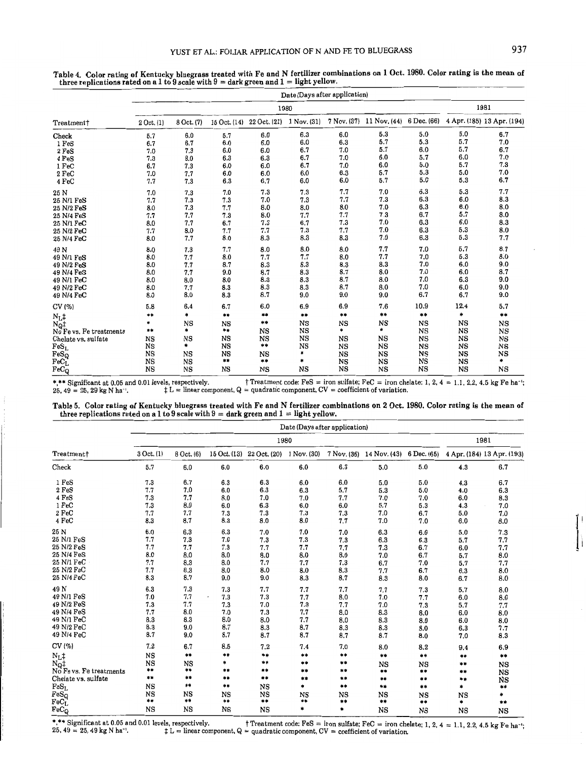| $\cdots$                          | Date (Days after application) |            |                  |                                       |       |           |                          |             |      |                            |
|-----------------------------------|-------------------------------|------------|------------------|---------------------------------------|-------|-----------|--------------------------|-------------|------|----------------------------|
|                                   |                               |            |                  | 1980                                  |       |           |                          |             |      | 1981                       |
| Treatment+                        | $2$ Oct. $(1)$                | 8 Oct. (7) |                  | 15 Oct. (14) 22 Oct. (21) 1 Nov. (31) |       |           | 7 Nov. (37) 11 Nov. (44) | 6 Dec. (66) |      | 4 Apr. (185) 13 Apr. (194) |
| Check                             | 5.7                           | 6.0        | 5.7              | 6.0                                   | 6.3   | 6.0       | 5.3                      | 5.0         | 5.0  | 6.7                        |
| 1 FeS                             | 6.7                           | 6.7        | 6.0              | 6.0                                   | 6.0   | 6.3       | 5.7                      | 5.3         | 5.7  | 7.0                        |
| 2 FeS                             | 7.0                           | 7,3        | 6.0              | 6.0                                   | 6.7   | 7.0       | 5.7                      | 6.0         | 5.7  | 6.7                        |
| 4 FeS                             | 7.3                           | 8.0        | 6.3              | 6.3                                   | 6.7   | 7.0       | 6.0                      | 5.7         | 6.0  | 7.0                        |
| 1 FeC                             | 6.7                           | 7.3        | 6.0              | 6.0                                   | 6.7   | 7.0       | 6.0                      | 5.0         | 5.7  | 7.3                        |
| $2 \text{FeC}$                    | 7.0                           | 7.7        | 6.0              | 6.0                                   | 6.0   | 6.3       | 5.7                      | 5.3         | 5.0  | 7.0                        |
| 4 FeC                             | 7.7                           | 7.3        | 6.3              | 6.7                                   | 6.0   | 6.0       | 5.7                      | 5.0         | 5.3  | 6.7                        |
| 25 N                              | 7.0                           | 7.3        | 7.0              | 7.3                                   | 7.3   | 7.7       | 7.0                      | 6.3         | 5.3  | 7.7                        |
| 25 N/1 FeS                        | 7.7                           | 7.3        | 7.3              | 7.0                                   | 7.3   | 7.7       | 7.3                      | 6.3         | 6.0  | 8.3                        |
| 25 N/2 FeS                        | 8.0                           | 7.3        | 7.7              | 8.0                                   | 8.0   | 8.0       | 7.0                      | 6.3         | 6.0  | 8.0                        |
| 25 N/4 FeS                        | 7.7                           | 7.7        | 7.3              | 8.0                                   | 7.7   | 7.7       | 7.3                      | 6.7         | 5.7  | 8.0                        |
| 25 N/1 FeC                        | 8.0                           | 7.7        | 6.7              | 7.3                                   | 6.7   | 7.3       | 7.0                      | 6.3         | 6.0  | 8.3                        |
| 25 N/2 FeC                        | 7.7                           | 8.0        | 7.7              | 7.7                                   | 7.3   | 7.7       | 7.0                      | 6.3         | 5.3  | 8.0                        |
| 25 N/4 FeC                        | 8.0                           | 7.7        | 8.0              | 8.3                                   | 8.3   | 8.3       | 7.0                      | 6.3         | 5.3  | 7.7                        |
| 49 N                              | 8.0                           | 7.3        | 7.7              | 8.0                                   | 8.0   | 8.0       | 7.7                      | 7.0         | 5.7  | 8.7                        |
| 49 N/1 FeS                        | 8.0                           | 7.7        | 8.0              | 7.7                                   | 7.7   | 8.0       | 7.7                      | 7.0         | 5.3  | 8.0                        |
| 49 N/2 FeS                        | 8.0                           | 7.7        | 8.7              | 8.3                                   | 8.3   | 8.3       | 8.3                      | 7.0         | 6.0  | 9.0                        |
| 49 N/4 FeS                        | 8.0                           | 7.7        | 9.0              | 8.7                                   | 8.3   | 8.7       | 8.0                      | 7.0         | 6.0  | 8.7                        |
| 49 N/1 FeC                        | 8.0                           | 8.0        | 8.0              | 8.3                                   | 8.3   | 8.7       | 8.0                      | 7.0         | 6.3  | 9.0                        |
| 49 N/2 FeC                        | 8.0                           | 7.7        | 8.3              | 8.3                                   | 8.3   | 8.7       | 8.0                      | 7.0         | 6.0  | 9.0                        |
| 49 N/4 FeC                        | 8.0                           | 8.0        | 8.3              | 8.7                                   | 9.0   | 9.0       | 9.0                      | 6.7         | 6.7  | 9.0                        |
| CV (%)                            | 5.8                           | 6.4        | 6.7              | 6.0                                   | 6.9   | 6.9       | 7.6                      | 10.9        | 12.4 | 5.7                        |
| $\rm N_L \ddagger$                | **                            | *          | $\star\star$     | $\approx 1$                           | $***$ | $\star$   | **                       | $\ast\ast$  | *    | **                         |
|                                   | ۰                             | NS         | <b>NS</b>        | $*$                                   | NS    | <b>NS</b> | <b>NS</b>                | <b>NS</b>   | NS   | NS                         |
| Not<br>No Fe vs. Fe treatments    | $\pmb{*}\pmb{*}$              | $\ast$     | $\pmb{*}\pmb{*}$ | NS                                    | NS    | *         | *                        | NS          | NS   | NS                         |
| Chelate vs. sulfate               | <b>NS</b>                     | NS         | NS               | NS                                    | NS    | <b>NS</b> | NS                       | NS          | NS   | NS                         |
| $FeS_L$                           | NS                            | *          | NS               | **                                    | NS    | <b>NS</b> | NS                       | $_{\rm NS}$ | NS   | NS                         |
| $F \in S_Q$                       | NS                            | <b>NS</b>  | NS               | NS                                    | *     | NS        | NS                       | NS          | NS   | NS                         |
| $\mathrm{FeC}^\star_{\mathrm{L}}$ | NS                            | <b>NS</b>  | **               | $***$                                 |       | <b>NS</b> | NS                       | NS          | NS   | $\star$                    |
| $\mathrm{FeC}^{-}_\mathrm{Q}$     | <b>NS</b>                     | NS         | NS               | NS                                    | NS    | NS        | <b>NS</b>                | $_{\rm NS}$ | NS   | $_{\rm NS}$                |

Table 4. Color rating of Kentucky bluegrass treated with Fe and N fertilizer combinations on 1 Oct. 1980. Color rating is the mean of three replications rated on a 1 to 9 scale with  $9 =$  dark green and  $1 =$  light yellow.

\*\*\* Significant at 0.05 and 0.01 levels, respectively. <br>  $\uparrow$  Treatment code: FeS = iron sulfate; FeC = iron chelate: 1, 2, 4 = 1.1, 2.2, 4.5 kg Fe ha<sup>-1</sup>;<br>  $25,49 = 25,29$  kg N ha<sup>-1</sup>. <br>  $\downarrow$  L = linear component, Q = q

Table 5. Color rating of Kentucky bluegrass treated with Fe and N fertilizer combinations on 2 Oct. 1980. Color rating is the mean of three replications rated on a 1 to 9 scale with  $9 =$  dark green and  $1 =$  light yellow.

| Date (Days after application) |            |              |       |                                       |              |           |           |             |           |                                                                 |  |
|-------------------------------|------------|--------------|-------|---------------------------------------|--------------|-----------|-----------|-------------|-----------|-----------------------------------------------------------------|--|
|                               |            | 1980         |       |                                       |              |           |           |             |           |                                                                 |  |
| Treatment†                    | 3 Oct. (1) | 8 Oct. (6)   |       | 15 Oct. (13) 22 Oct. (20) 1 Nov. (30) |              |           |           |             |           | 7 Nov. (36) 14 Nov. (43) 6 Dec. (65) 4 Apr. (184) 13 Apr. (193) |  |
| Check                         | 5.7        | 6,0          | 6.0   | 6.0                                   | 6.0          | 6.3       | 5.0       | 5.0         | 4.3       | 6.7                                                             |  |
| 1 FeS                         | 7.3        | 6.7          | 6.3   | 6.3                                   | 6.0          | 6,0       | 5.0       | 5.0         | 4.3       | 6.7                                                             |  |
| 2 FeS                         | 7.7        | 7,0          | 6.0   | 6.3                                   | 6.3          | 5.7       | 5.3       | 5.0         | 4.0       | 6.3                                                             |  |
| 4 FeS                         | 7.3        | 7.7          | 8.0   | 7.0                                   | 7.0          | 7.7       | 7.0       | 7.0         | 6.0       | 8.3                                                             |  |
| 1 FeC                         | 7.3        | 8,0          | 6.0   | 6.3                                   | 6.0          | 6.0       | 5.7       | 5.3         | 4.3       | 7.0                                                             |  |
| 2 FeC                         | 7.7        | 7.7          | 7.3   | 7.3                                   | 7.3          | 7.3       | 7.0       | 6.7         | 5.0       | 7.0                                                             |  |
| 4 FeC                         | 8.3        | 8.7          | 8.3   | 8.0                                   | 8.0          | 7.7       | 7.0       | 7.0         | 6.0       | 8.0                                                             |  |
| 25 N                          | 6.0        | 6.3          | 6.3   | 7.0                                   | 7.0          | 7.0       | 6.3       | 6.0         | 5.0       | 7.3                                                             |  |
| 25 N/1 FeS                    | 7.7        | 7.3          | 7.0   | 7.3                                   | 7.3          | 7.3       | 6.3       | 6.3         | 5.7       | 7.7                                                             |  |
| 25 N/2 FeS                    | 7.7        | 7.7          | 7.3   | 7.7                                   | 7.7          | 7.7       | 7.3       | 6.7         | 6.0       | 7.7                                                             |  |
| 25 N/4 FeS                    | 8.0        | 8.0          | 8.0   | 8.0                                   | 8.0          | 8,0       | 7.0       | 6.7         | 5.7       | 8.0                                                             |  |
| 25 N/1 FeC                    | 7.7        | 8.3          | 8.0   | 7.7                                   | 7.7          | 7.3       | 6.7       | 7.0         | 5.7       | 7.7                                                             |  |
| 25 N/2 FeC                    | 7.7        | 8.3          | 8.0   | 8.0                                   | 8.0          | 8.3       | 7.7       | 6.7         | 6.3       | 8.0                                                             |  |
| 25 N/4 FeC                    | 8.3        | 8.7          | 9.0   | 9.0                                   | 8.3          | 8.7       | 8.3       | 8.0         | 6.7       | 8.0                                                             |  |
| 49 N                          | 6.3        | 7.3          | 7.3   | 7.7                                   | 7.7          | 7.7       | 7.7       | 7.3         | 5.7       | 8.0                                                             |  |
| 49 N/1 FeS                    | 7.0        | 7.7          | 7.3   | 7.3                                   | 7.7          | 8.0       | 7.0       | 7.7         | 6.0       | 8.0                                                             |  |
| 49 N/2 FeS                    | 7.3        | 7.7          | 7.3   | 7.0                                   | 7.3          | 7.7       | 7.0       | 7.3         | 5.7       | 7.7                                                             |  |
| 49 N/4 FeS                    | 7.7        | 8.0          | 7.0   | 7.3                                   | 7.7          | 8.0       | 8.3       | 8.0         | 6.0       | 8.0                                                             |  |
| 49 N/1 FeC                    | 8.3        | 8.3          | 8.0   | 8.0                                   | 7.7          | 8.0       | 8.3       | 8.0         | 6.0       | 8.0                                                             |  |
| 49 N/2 FeC                    | 8.3        | 9.0          | 8.7   | 8.3                                   | 8.7          | 8.3       | 8.3       | 8.0         | 6.3       | 7.7                                                             |  |
| 49 N/4 FeC                    | 8.7        | 9,0          | 8.7   | 8.7                                   | 8.7          | 8.7       | 8.7       | 8.0         | 7.0       | 8.3                                                             |  |
| CV(%)                         | 7.2        | 6.7          | 8.5   | 7.2                                   | 7.4          | 7.0       | 8.0       | 8.2         | 9.4       | 6.9                                                             |  |
| $N_L$ ‡                       | NS         | $\star\star$ | $***$ | $***$                                 | $\star\star$ | $***$     | **        | $***$       | $***$     | $\pmb{*}\pmb{*}$                                                |  |
| $N_Q^-\dagger$                | NS         | NS           | *     | $***$                                 | **           | **        | <b>NS</b> | $_{\rm NS}$ | **        | NS                                                              |  |
| No Fe vs. Fe treatments       | **         | $***$        | **    | $\pm\pm$                              | $***$        | **        | **        | **          | $***$     | <b>NS</b>                                                       |  |
| Chelate vs. sulfate           | **         | $***$        | $***$ | $***$                                 | $***$        | **        | **        | **          | $\star$ . | NS                                                              |  |
| $\mathrm{FeS}_{\mathrm{L}}$   | NS         | $***$        | **    | NS                                    | *            | $***$     | **        | $***$       | $\star$   | **                                                              |  |
| $FeS_Q$                       | NS         | NS           | NS    | NS                                    | NS           | <b>NS</b> | NS        | NS          | NS        | *                                                               |  |
| $FeC_{L}$                     | $***$      | $\ast\ast$   | **    | $*$                                   | **           | **        | **        | **          | *         | $***$                                                           |  |
| $\mathrm{FeC}_Q$              | NS         | NS           | NS    | <b>NS</b>                             | *            |           | NS        | NS          | NS        | NS                                                              |  |

 $\ddagger L$  = linear component, Q = quadratic component, CV = coefficient of variation.

\*\*\* Significant at 0.05 and 0.01 levels, respectively. tTreatment code: FeS = iron sulfate; FeC = iron chelate; 1, 2, 4 = 1.1, 2.2, 4.5 kg Fe ha<sup>-1</sup>; 25, 49 = 25, 49 kg N ha<sup>-1</sup>.  $\downarrow$  L = linear component, Q = quadratic